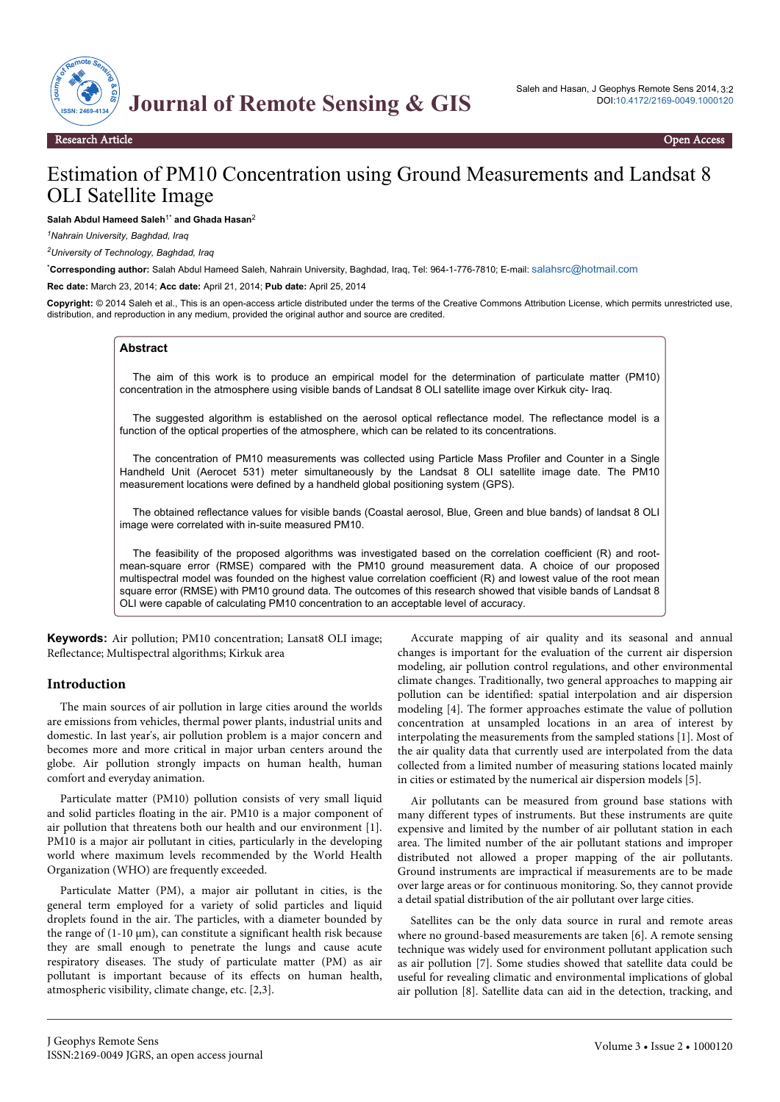

# Estimation of PM10 Concentration using Ground Measurements and Landsat 8 OLI Satellite Image

### **Salah Abdul Hameed Saleh**1\* **and Ghada Hasan**<sup>2</sup>

*<sup>1</sup>Nahrain University, Baghdad, Iraq*

*<sup>2</sup>University of Technology, Baghdad, Iraq*

\***Corresponding author:** Salah Abdul Hameed Saleh, Nahrain University, Baghdad, Iraq, Tel: 964-1-776-7810; E-mail: [salahsrc@hotmail.com](mailto:salahsrc@hotmail.com)

**Rec date:** March 23, 2014; **Acc date:** April 21, 2014; **Pub date:** April 25, 2014

**Copyright:** © 2014 Saleh et al., This is an open-access article distributed under the terms of the Creative Commons Attribution License, which permits unrestricted use, distribution, and reproduction in any medium, provided the original author and source are credited.

#### **Abstract**

The aim of this work is to produce an empirical model for the determination of particulate matter (PM10) concentration in the atmosphere using visible bands of Landsat 8 OLI satellite image over Kirkuk city- Iraq.

The suggested algorithm is established on the aerosol optical reflectance model. The reflectance model is a function of the optical properties of the atmosphere, which can be related to its concentrations.

The concentration of PM10 measurements was collected using Particle Mass Profiler and Counter in a Single Handheld Unit (Aerocet 531) meter simultaneously by the Landsat 8 OLI satellite image date. The PM10 measurement locations were defined by a handheld global positioning system (GPS).

The obtained reflectance values for visible bands (Coastal aerosol, Blue, Green and blue bands) of landsat 8 OLI image were correlated with in-suite measured PM10.

The feasibility of the proposed algorithms was investigated based on the correlation coefficient (R) and rootmean-square error (RMSE) compared with the PM10 ground measurement data. A choice of our proposed multispectral model was founded on the highest value correlation coefficient (R) and lowest value of the root mean square error (RMSE) with PM10 ground data. The outcomes of this research showed that visible bands of Landsat 8 OLI were capable of calculating PM10 concentration to an acceptable level of accuracy.

**Keywords:** Air pollution; PM10 concentration; Lansat8 OLI image; Reflectance; Multispectral algorithms; Kirkuk area

#### **Introduction**

The main sources of air pollution in large cities around the worlds are emissions from vehicles, thermal power plants, industrial units and domestic. In last year's, air pollution problem is a major concern and becomes more and more critical in major urban centers around the globe. Air pollution strongly impacts on human health, human comfort and everyday animation.

Particulate matter (PM10) pollution consists of very small liquid and solid particles floating in the air. PM10 is a major component of air pollution that threatens both our health and our environment [1]. PM10 is a major air pollutant in cities, particularly in the developing world where maximum levels recommended by the World Health Organization (WHO) are frequently exceeded.

Particulate Matter (PM), a major air pollutant in cities, is the general term employed for a variety of solid particles and liquid droplets found in the air. The particles, with a diameter bounded by the range of (1-10 μm), can constitute a significant health risk because they are small enough to penetrate the lungs and cause acute respiratory diseases. The study of particulate matter (PM) as air pollutant is important because of its effects on human health, atmospheric visibility, climate change, etc. [2,3].

Accurate mapping of air quality and its seasonal and annual changes is important for the evaluation of the current air dispersion modeling, air pollution control regulations, and other environmental climate changes. Traditionally, two general approaches to mapping air pollution can be identified: spatial interpolation and air dispersion modeling [4]. The former approaches estimate the value of pollution concentration at unsampled locations in an area of interest by interpolating the measurements from the sampled stations [1]. Most of the air quality data that currently used are interpolated from the data collected from a limited number of measuring stations located mainly in cities or estimated by the numerical air dispersion models [5].

Air pollutants can be measured from ground base stations with many different types of instruments. But these instruments are quite expensive and limited by the number of air pollutant station in each area. The limited number of the air pollutant stations and improper distributed not allowed a proper mapping of the air pollutants. Ground instruments are impractical if measurements are to be made over large areas or for continuous monitoring. So, they cannot provide a detail spatial distribution of the air pollutant over large cities.

Satellites can be the only data source in rural and remote areas where no ground-based measurements are taken [6]. A remote sensing technique was widely used for environment pollutant application such as air pollution [7]. Some studies showed that satellite data could be useful for revealing climatic and environmental implications of global air pollution [8]. Satellite data can aid in the detection, tracking, and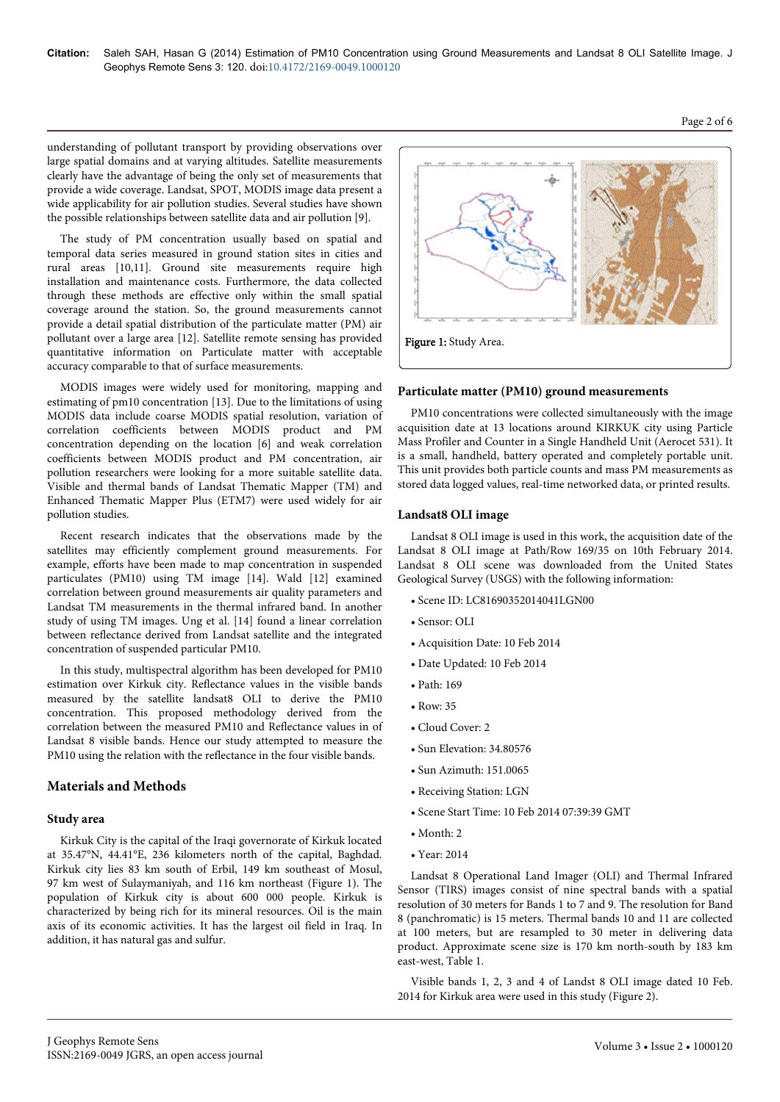understanding of pollutant transport by providing observations over large spatial domains and at varying altitudes. Satellite measurements clearly have the advantage of being the only set of measurements that provide a wide coverage. Landsat, SPOT, MODIS image data present a wide applicability for air pollution studies. Several studies have shown the possible relationships between satellite data and air pollution [9].

The study of PM concentration usually based on spatial and temporal data series measured in ground station sites in cities and rural areas [10,11]. Ground site measurements require high installation and maintenance costs. Furthermore, the data collected through these methods are effective only within the small spatial coverage around the station. So, the ground measurements cannot provide a detail spatial distribution of the particulate matter (PM) air pollutant over a large area [12]. Satellite remote sensing has provided quantitative information on Particulate matter with acceptable accuracy comparable to that of surface measurements.

MODIS images were widely used for monitoring, mapping and estimating of pm10 concentration [13]. Due to the limitations of using MODIS data include coarse MODIS spatial resolution, variation of correlation coefficients between MODIS product and PM concentration depending on the location [6] and weak correlation coefficients between MODIS product and PM concentration, air pollution researchers were looking for a more suitable satellite data. Visible and thermal bands of Landsat Thematic Mapper (TM) and Enhanced Thematic Mapper Plus (ETM7) were used widely for air pollution studies.

Recent research indicates that the observations made by the satellites may efficiently complement ground measurements. For example, efforts have been made to map concentration in suspended particulates (PM10) using TM image [14]. Wald [12] examined correlation between ground measurements air quality parameters and Landsat TM measurements in the thermal infrared band. In another study of using TM images. Ung et al. [14] found a linear correlation between reflectance derived from Landsat satellite and the integrated concentration of suspended particular PM10.

In this study, multispectral algorithm has been developed for PM10 estimation over Kirkuk city. Reflectance values in the visible bands measured by the satellite landsat8 OLI to derive the PM10 concentration. This proposed methodology derived from the correlation between the measured PM10 and Reflectance values in of Landsat 8 visible bands. Hence our study attempted to measure the PM10 using the relation with the reflectance in the four visible bands.

### **Materials and Methods**

#### **Study area**

Kirkuk City is the capital of the Iraqi governorate of Kirkuk located at 35.47°N, 44.41°E, 236 kilometers north of the capital, Baghdad. Kirkuk city lies 83 km south of Erbil, 149 km southeast of Mosul, 97 km west of Sulaymaniyah, and 116 km northeast (Figure 1). The population of Kirkuk city is about 600 000 people. Kirkuk is characterized by being rich for its mineral resources. Oil is the main axis of its economic activities. It has the largest oil field in Iraq. In addition, it has natural gas and sulfur.



### **Particulate matter (PM10) ground measurements**

PM10 concentrations were collected simultaneously with the image acquisition date at 13 locations around KIRKUK city using Particle Mass Profiler and Counter in a Single Handheld Unit (Aerocet 531). It is a small, handheld, battery operated and completely portable unit. This unit provides both particle counts and mass PM measurements as stored data logged values, real-time networked data, or printed results.

#### **Landsat8 OLI image**

Landsat 8 OLI image is used in this work, the acquisition date of the Landsat 8 OLI image at Path/Row 169/35 on 10th February 2014. Landsat 8 OLI scene was downloaded from the United States Geological Survey (USGS) with the following information:

- Scene ID: LC81690352014041LGN00
- Sensor: OLI
- Acquisition Date: 10 Feb 2014
- Date Updated: 10 Feb 2014
- Path: 169
- Row: 35
- Cloud Cover: 2
- Sun Elevation: 34.80576
- Sun Azimuth: 151.0065
- Receiving Station: LGN
- Scene Start Time: 10 Feb 2014 07:39:39 GMT
- $•$  Month $.2$
- Year: 2014

Landsat 8 Operational Land Imager (OLI) and Thermal Infrared Sensor (TIRS) images consist of nine spectral bands with a spatial resolution of 30 meters for Bands 1 to 7 and 9. The resolution for Band 8 (panchromatic) is 15 meters. Thermal bands 10 and 11 are collected at 100 meters, but are resampled to 30 meter in delivering data product. Approximate scene size is 170 km north-south by 183 km east-west, Table 1.

Visible bands 1, 2, 3 and 4 of Landst 8 OLI image dated 10 Feb. 2014 for Kirkuk area were used in this study (Figure 2).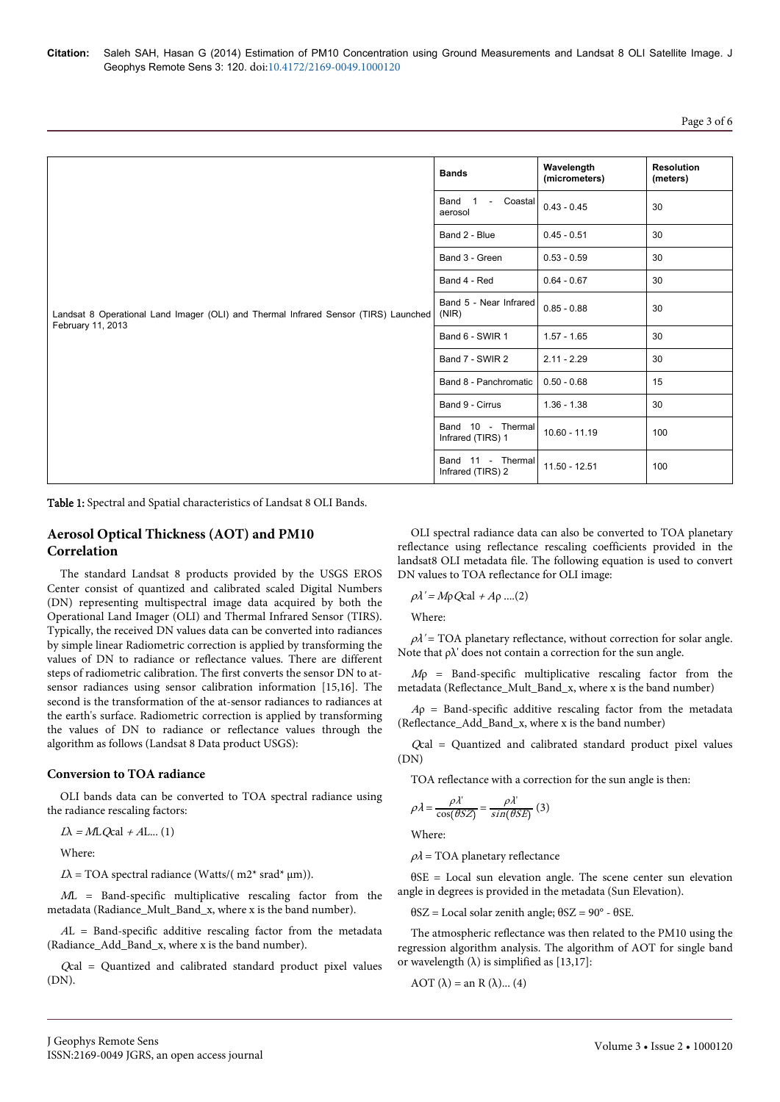Page 3 of 6

|                                                                                                          | <b>Bands</b>                           | Wavelength<br>(micrometers) | <b>Resolution</b><br>(meters) |
|----------------------------------------------------------------------------------------------------------|----------------------------------------|-----------------------------|-------------------------------|
|                                                                                                          | Band 1<br>- Coastal<br>aerosol         | $0.43 - 0.45$               | 30                            |
|                                                                                                          | Band 2 - Blue                          | $0.45 - 0.51$               | 30                            |
| Landsat 8 Operational Land Imager (OLI) and Thermal Infrared Sensor (TIRS) Launched<br>February 11, 2013 | Band 3 - Green                         | $0.53 - 0.59$               | 30                            |
|                                                                                                          | Band 4 - Red                           | $0.64 - 0.67$               | 30                            |
|                                                                                                          | Band 5 - Near Infrared<br>(NIR)        | $0.85 - 0.88$               | 30                            |
|                                                                                                          | Band 6 - SWIR 1                        | $1.57 - 1.65$               | 30                            |
|                                                                                                          | Band 7 - SWIR 2                        | $2.11 - 2.29$               | 30                            |
|                                                                                                          | Band 8 - Panchromatic                  | $0.50 - 0.68$               | 15                            |
|                                                                                                          | Band 9 - Cirrus                        | $1.36 - 1.38$               | 30                            |
|                                                                                                          | Band 10 - Thermal<br>Infrared (TIRS) 1 | $10.60 - 11.19$             | 100                           |
|                                                                                                          | Band 11 - Thermal<br>Infrared (TIRS) 2 | 11.50 - 12.51               | 100                           |

Table 1: Spectral and Spatial characteristics of Landsat 8 OLI Bands.

# **Aerosol Optical Thickness (AOT) and PM10 Correlation**

The standard Landsat 8 products provided by the USGS EROS Center consist of quantized and calibrated scaled Digital Numbers (DN) representing multispectral image data acquired by both the Operational Land Imager (OLI) and Thermal Infrared Sensor (TIRS). Typically, the received DN values data can be converted into radiances by simple linear Radiometric correction is applied by transforming the values of DN to radiance or reflectance values. There are different steps of radiometric calibration. The first converts the sensor DN to atsensor radiances using sensor calibration information [15,16]. The second is the transformation of the at-sensor radiances to radiances at the earth's surface. Radiometric correction is applied by transforming the values of DN to radiance or reflectance values through the algorithm as follows (Landsat 8 Data product USGS):

#### **Conversion to TOA radiance**

OLI bands data can be converted to TOA spectral radiance using the radiance rescaling factors:

 $L\lambda = MLQcal + AL... (1)$ 

Where:

 $L\lambda$  = TOA spectral radiance (Watts/( m2\* srad\* µm)).

 $ML =$  Band-specific multiplicative rescaling factor from the metadata (Radiance\_Mult\_Band\_x, where x is the band number).

<sup>A</sup>L = Band-specific additive rescaling factor from the metadata (Radiance\_Add\_Band\_x, where x is the band number).

Qcal = Quantized and calibrated standard product pixel values (DN).

OLI spectral radiance data can also be converted to TOA planetary reflectance using reflectance rescaling coefficients provided in the landsat8 OLI metadata file. The following equation is used to convert DN values to TOA reflectance for OLI image:

$$
\rho \lambda' = M \rho Q \text{cal} + A \rho \dots (2)
$$

Where:

 $\rho \lambda'$  = TOA planetary reflectance, without correction for solar angle. Note that ρλ' does not contain a correction for the sun angle.

 $M\rho$  = Band-specific multiplicative rescaling factor from the metadata (Reflectance\_Mult\_Band\_x, where x is the band number)

 $A$ ρ = Band-specific additive rescaling factor from the metadata (Reflectance\_Add\_Band\_x, where x is the band number)

Qcal = Quantized and calibrated standard product pixel values (DN)

TOA reflectance with a correction for the sun angle is then:

$$
\rho \lambda = \frac{\rho \lambda'}{\cos(\theta S Z)} = \frac{\rho \lambda'}{\sin(\theta S E)} (3)
$$

Where:

 $\rho \lambda$  = TOA planetary reflectance

θSE = Local sun elevation angle. The scene center sun elevation angle in degrees is provided in the metadata (Sun Elevation).

θSZ = Local solar zenith angle; θSZ = 90° - θSE.

The atmospheric reflectance was then related to the PM10 using the regression algorithm analysis. The algorithm of AOT for single band or wavelength  $(\lambda)$  is simplified as [13,17]:

$$
AOT (\lambda) = an R (\lambda) ... (4)
$$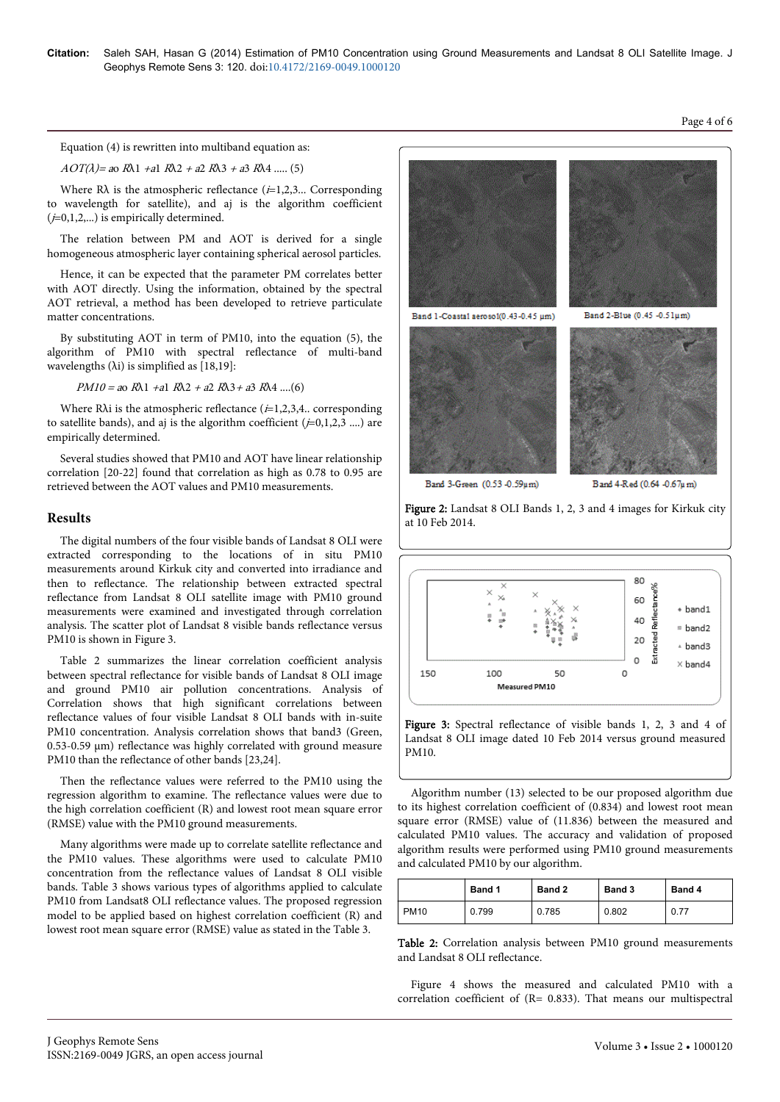Equation (4) is rewritten into multiband equation as:

 $AOT(\lambda) = a_0 R\lambda_1 + a_1 R\lambda_2 + a_2 R\lambda_3 + a_3 R\lambda_4$  ..... (5)

Where  $R\lambda$  is the atmospheric reflectance ( $i=1,2,3...$  Corresponding to wavelength for satellite), and aj is the algorithm coefficient  $(j=0,1,2,...)$  is empirically determined.

The relation between PM and AOT is derived for a single homogeneous atmospheric layer containing spherical aerosol particles.

Hence, it can be expected that the parameter PM correlates better with AOT directly. Using the information, obtained by the spectral AOT retrieval, a method has been developed to retrieve particulate matter concentrations.

By substituting AOT in term of PM10, into the equation (5), the algorithm of PM10 with spectral reflectance of multi-band wavelengths ( $\lambda$ i) is simplified as [18,19]:

 $PM10 = a_0 R\lambda_1 + a_1 R\lambda_2 + a_2 R\lambda_3 + a_3 R\lambda_4$  ....(6)

Where R $\lambda$ i is the atmospheric reflectance ( $i=1,2,3,4$ .. corresponding to satellite bands), and aj is the algorithm coefficient  $(j=0,1,2,3 \ldots)$  are empirically determined.

Several studies showed that PM10 and AOT have linear relationship correlation [20-22] found that correlation as high as 0.78 to 0.95 are retrieved between the AOT values and PM10 measurements.

#### **Results**

The digital numbers of the four visible bands of Landsat 8 OLI were extracted corresponding to the locations of in situ PM10 measurements around Kirkuk city and converted into irradiance and then to reflectance. The relationship between extracted spectral reflectance from Landsat 8 OLI satellite image with PM10 ground measurements were examined and investigated through correlation analysis. The scatter plot of Landsat 8 visible bands reflectance versus PM10 is shown in Figure 3.

Table 2 summarizes the linear correlation coefficient analysis between spectral reflectance for visible bands of Landsat 8 OLI image and ground PM10 air pollution concentrations. Analysis of Correlation shows that high significant correlations between reflectance values of four visible Landsat 8 OLI bands with in-suite PM10 concentration. Analysis correlation shows that band3 (Green, 0.53-0.59 μm) reflectance was highly correlated with ground measure PM10 than the reflectance of other bands [23,24].

Then the reflectance values were referred to the PM10 using the regression algorithm to examine. The reflectance values were due to the high correlation coefficient (R) and lowest root mean square error (RMSE) value with the PM10 ground measurements.

Many algorithms were made up to correlate satellite reflectance and the PM10 values. These algorithms were used to calculate PM10 concentration from the reflectance values of Landsat 8 OLI visible bands. Table 3 shows various types of algorithms applied to calculate PM10 from Landsat8 OLI reflectance values. The proposed regression model to be applied based on highest correlation coefficient (R) and lowest root mean square error (RMSE) value as stated in the Table 3.



Figure 2: Landsat 8 OLI Bands 1, 2, 3 and 4 images for Kirkuk city at 10 Feb 2014.



Figure 3: Spectral reflectance of visible bands 1, 2, 3 and 4 of Landsat 8 OLI image dated 10 Feb 2014 versus ground measured PM10.

Algorithm number (13) selected to be our proposed algorithm due to its highest correlation coefficient of (0.834) and lowest root mean square error (RMSE) value of (11.836) between the measured and calculated PM10 values. The accuracy and validation of proposed algorithm results were performed using PM10 ground measurements and calculated PM10 by our algorithm.

|             | Band 1 | Band 2 | Band 3 | Band 4 |
|-------------|--------|--------|--------|--------|
| <b>PM10</b> | 0.799  | 0.785  | 0.802  | 0.77   |

Table 2: Correlation analysis between PM10 ground measurements and Landsat 8 OLI reflectance.

Figure 4 shows the measured and calculated PM10 with a correlation coefficient of (R= 0.833). That means our multispectral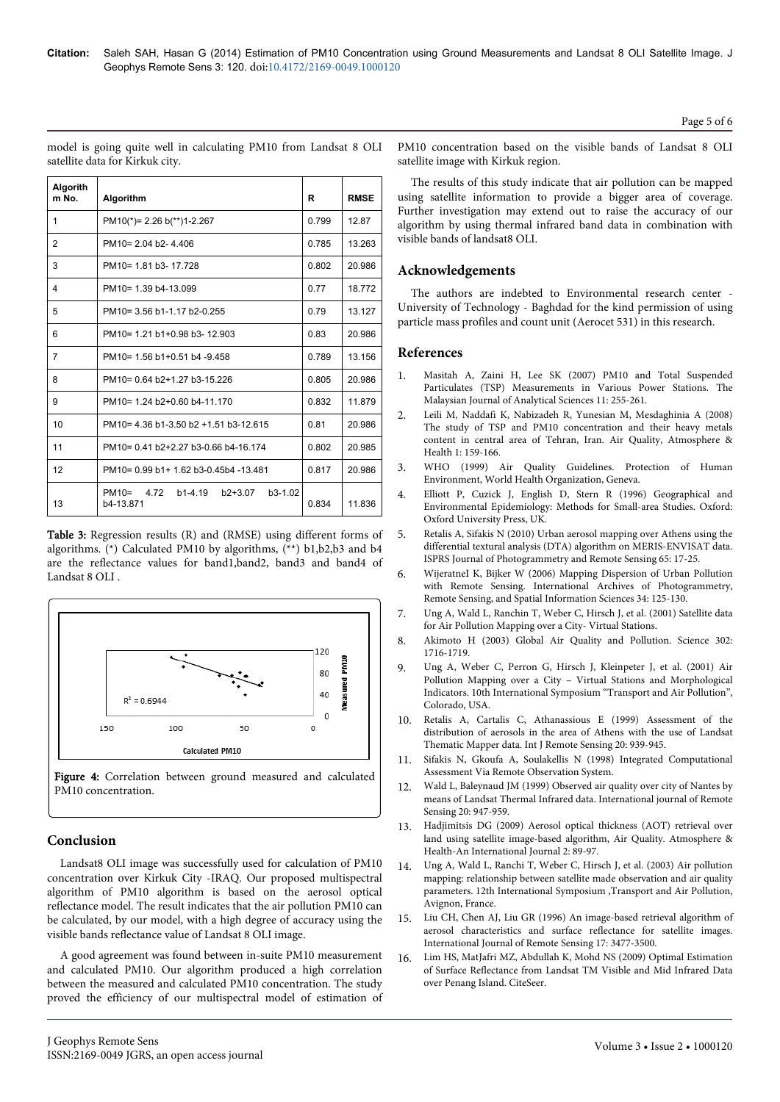Page 5 of 6

| Algorith<br>m No. | Algorithm                                          |       | <b>RMSE</b> |
|-------------------|----------------------------------------------------|-------|-------------|
| 1                 | $PM10(*)$ = 2.26 b(**)1-2.267                      | 0.799 | 12.87       |
| $\overline{2}$    | PM10= 2.04 b2-4.406                                |       | 13.263      |
| 3                 | PM10= 1.81 b3- 17.728                              | 0.802 | 20.986      |
| 4                 | PM10= 1.39 b4-13.099                               |       | 18.772      |
| 5                 | PM10= 3.56 b1-1.17 b2-0.255                        |       | 13.127      |
| 6                 | PM10= 1.21 b1+0.98 b3-12.903                       |       | 20.986      |
| 7                 | PM10= 1.56 b1+0.51 b4 -9.458                       |       | 13.156      |
| 8                 | PM10= 0.64 b2+1.27 b3-15.226                       |       | 20.986      |
| 9                 | PM10= 1.24 b2+0.60 b4-11.170                       |       | 11.879      |
| 10                | PM10= 4.36 b1-3.50 b2 +1.51 b3-12.615              | 0.81  | 20.986      |
| 11                | PM10= 0.41 b2+2.27 b3-0.66 b4-16.174               | 0.802 | 20.985      |
| 12                | PM10= 0.99 b1+ 1.62 b3-0.45b4 -13.481              | 0.817 | 20.986      |
| 13                | b3-1.02<br>PM10= 4.72 b1-4.19 b2+3.07<br>b4-13.871 | 0.834 | 11.836      |

model is going quite well in calculating PM10 from Landsat 8 OLI satellite data for Kirkuk city.

Table 3: Regression results (R) and (RMSE) using different forms of algorithms. (\*) Calculated PM10 by algorithms, (\*\*) b1,b2,b3 and b4 are the reflectance values for band1,band2, band3 and band4 of Landsat 8 OLI .



Figure 4: Correlation between ground measured and calculated PM10 concentration.

# **Conclusion**

Landsat8 OLI image was successfully used for calculation of PM10 concentration over Kirkuk City -IRAQ. Our proposed multispectral algorithm of PM10 algorithm is based on the aerosol optical reflectance model. The result indicates that the air pollution PM10 can be calculated, by our model, with a high degree of accuracy using the visible bands reflectance value of Landsat 8 OLI image.

A good agreement was found between in-suite PM10 measurement and calculated PM10. Our algorithm produced a high correlation between the measured and calculated PM10 concentration. The study proved the efficiency of our multispectral model of estimation of PM10 concentration based on the visible bands of Landsat 8 OLI satellite image with Kirkuk region.

The results of this study indicate that air pollution can be mapped using satellite information to provide a bigger area of coverage. Further investigation may extend out to raise the accuracy of our algorithm by using thermal infrared band data in combination with visible bands of landsat8 OLI.

# **Acknowledgements**

The authors are indebted to Environmental research center - University of Technology - Baghdad for the kind permission of using particle mass profiles and count unit (Aerocet 531) in this research.

## **References**

- 1. [Masitah A, Zaini H, Lee SK \(2007\) PM10 and Total Suspended](http://www.ukm.my/mjas/v11_n1/html/11_1_38.html) [Particulates \(TSP\) Measurements in Various Power Stations. The](http://www.ukm.my/mjas/v11_n1/html/11_1_38.html) [Malaysian Journal of Analytical Sciences 11: 255-261.](http://www.ukm.my/mjas/v11_n1/html/11_1_38.html)
- 2. [Leili M, Naddafi K, Nabizadeh R, Yunesian M, Mesdaghinia A \(2008\)](http://link.springer.com/article/10.1007/s11869-008-0021-z) [The study of TSP and PM10 concentration and their heavy metals](http://link.springer.com/article/10.1007/s11869-008-0021-z) [content in central area of Tehran, Iran. Air Quality, Atmosphere &](http://link.springer.com/article/10.1007/s11869-008-0021-z) [Health 1: 159-166.](http://link.springer.com/article/10.1007/s11869-008-0021-z)
- 3. [WHO \(1999\) Air Quality Guidelines. Protection of Human](http://lhtee.meng.auth.gr/AIR-EIA/METHODS/AQGuide/AQGuide.htm) [Environment, World Health Organization, Geneva.](http://lhtee.meng.auth.gr/AIR-EIA/METHODS/AQGuide/AQGuide.htm)
- 4. [Elliott P, Cuzick J, English D, Stern R \(1996\) Geographical and](http://www.euro.who.int/en/publications/abstracts/geographical-and-environmental-epidemiology.-methods-for-small-area-studies) [Environmental Epidemiology: Methods for Small-area Studies. Oxford:](http://www.euro.who.int/en/publications/abstracts/geographical-and-environmental-epidemiology.-methods-for-small-area-studies) [Oxford University Press, UK.](http://www.euro.who.int/en/publications/abstracts/geographical-and-environmental-epidemiology.-methods-for-small-area-studies)
- 5. [Retalis A, Sifakis N \(2010\) Urban aerosol mapping over Athens using the](http://www.sciencedirect.com/science/article/pii/S0924271609001038) [differential textural analysis \(DTA\) algorithm on MERIS-ENVISAT data.](http://www.sciencedirect.com/science/article/pii/S0924271609001038) [ISPRS Journal of Photogrammetry and Remote Sensing 65: 17-25.](http://www.sciencedirect.com/science/article/pii/S0924271609001038)
- 6. [WijeratneI K, Bijker W \(2006\) Mapping Dispersion of Urban Pollution](http://citeseerx.ist.psu.edu/viewdoc/download?rep=rep1&type=pdf&doi=10.1.1.222.3483) [with Remote Sensing. International Archives of Photogrammetry,](http://citeseerx.ist.psu.edu/viewdoc/download?rep=rep1&type=pdf&doi=10.1.1.222.3483) [Remote Sensing, and Spatial Information Sciences 34: 125-130.](http://citeseerx.ist.psu.edu/viewdoc/download?rep=rep1&type=pdf&doi=10.1.1.222.3483)
- 7. [Ung A, Wald L, Ranchin T, Weber C, Hirsch J, et al. \(2001\) Satellite data](http://anthony.ung.free.fr/fichiers/these/earsel.pdf) [for Air Pollution Mapping over a City- Virtual Stations.](http://anthony.ung.free.fr/fichiers/these/earsel.pdf)
- 8. [Akimoto H \(2003\) Global Air Quality and Pollution. Science 302:](https://www.sciencemag.org/content/302/5651/1716.full.pdf) [1716-1719.](https://www.sciencemag.org/content/302/5651/1716.full.pdf)
- 9. [Ung A, Weber C, Perron G, Hirsch J, Kleinpeter J, et al. \(2001\) Air](http://hal-ensmp.archives-ouvertes.fr/docs/00/46/55/66/PDF/2001_tap_ung.pdf) [Pollution Mapping over a City – Virtual Stations and Morphological](http://hal-ensmp.archives-ouvertes.fr/docs/00/46/55/66/PDF/2001_tap_ung.pdf) [Indicators. 10th International Symposium "Transport and Air Pollution",](http://hal-ensmp.archives-ouvertes.fr/docs/00/46/55/66/PDF/2001_tap_ung.pdf) [Colorado, USA.](http://hal-ensmp.archives-ouvertes.fr/docs/00/46/55/66/PDF/2001_tap_ung.pdf)
- 10. [Retalis A, Cartalis C, Athanassious E \(1999\) Assessment of the](http://www.tandfonline.com/doi/abs/10.1080/014311699213000) [distribution of aerosols in the area of Athens with the use of Landsat](http://www.tandfonline.com/doi/abs/10.1080/014311699213000) [Thematic Mapper data. Int J Remote Sensing 20: 939-945.](http://www.tandfonline.com/doi/abs/10.1080/014311699213000)
- 11. Sifakis N, Gkoufa A, Soulakellis N (1998) Integrated Computational Assessment Via Remote Observation System.
- 12. [Wald L, Baleynaud JM \(1999\) Observed air quality over city of Nantes by](http://citeseerx.ist.psu.edu/viewdoc/summary?doi=10.1.1.400.1107) [means of Landsat Thermal Infrared data. International journal of Remote](http://citeseerx.ist.psu.edu/viewdoc/summary?doi=10.1.1.400.1107) [Sensing 20: 947-959.](http://citeseerx.ist.psu.edu/viewdoc/summary?doi=10.1.1.400.1107)
- 13. [Hadjimitsis DG \(2009\) Aerosol optical thickness \(AOT\) retrieval over](http://link.springer.com/article/10.1007%2Fs11869-009-0036-0) [land using satellite image-based algorithm, Air Quality. Atmosphere &](http://link.springer.com/article/10.1007%2Fs11869-009-0036-0) [Health-An International Journal 2: 89-97.](http://link.springer.com/article/10.1007%2Fs11869-009-0036-0)
- 14. [Ung A, Wald L, Ranchi T, Weber C, Hirsch J, et al. \(2003\) Air pollution](http://halshs.archives-ouvertes.fr/hal-00466452/) [mapping: relationship between satellite made observation and air quality](http://halshs.archives-ouvertes.fr/hal-00466452/) [parameters. 12th International Symposium ,Transport and Air Pollution,](http://halshs.archives-ouvertes.fr/hal-00466452/) [Avignon, France.](http://halshs.archives-ouvertes.fr/hal-00466452/)
- 15. [Liu CH, Chen AJ, Liu GR \(1996\) An image-based retrieval algorithm of](http://www.tandfonline.com/doi/abs/10.1080/01431169608949164) [aerosol characteristics and surface reflectance for satellite images.](http://www.tandfonline.com/doi/abs/10.1080/01431169608949164) [International Journal of Remote Sensing 17: 3477-3500.](http://www.tandfonline.com/doi/abs/10.1080/01431169608949164)
- 16. [Lim HS, MatJafri MZ, Abdullah K, Mohd NS \(2009\) Optimal Estimation](http://citeseerx.ist.psu.edu/viewdoc/summary?doi=10.1.1.308.9707) [of Surface Reflectance from Landsat TM Visible and Mid Infrared Data](http://citeseerx.ist.psu.edu/viewdoc/summary?doi=10.1.1.308.9707) [over Penang Island. CiteSeer.](http://citeseerx.ist.psu.edu/viewdoc/summary?doi=10.1.1.308.9707)